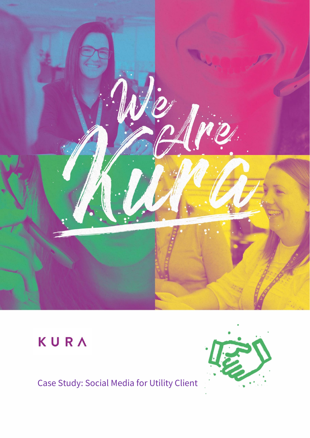

# KURA

## Case Study: Social Media for Utility Client

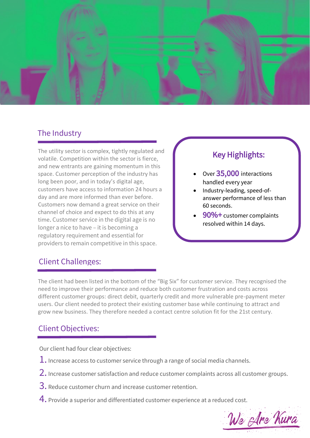

#### The Industry

The utility sector is complex, tightly regulated and volatile. Competition within the sector is fierce, and new entrants are gaining momentum in this space. Customer perception of the industry has long been poor, and in today's digital age, customers have access to information 24 hours a day and are more informed than ever before. Customers now demand a great service on their channel of choice and expect to do this at any time. Customer service in the digital age is no longer a nice to have – it is becoming a regulatory requirement and essential for providers to remain competitive in this space.

#### Key Highlights:

- Over 35,000 interactions handled every year
- Industry-leading, speed-ofanswer performance of less than 60 seconds.
- 90%+ customer complaints resolved within 14 days.

#### Client Challenges:

The client had been listed in the bottom of the "Big Six" for customer service. They recognised the need to improve their performance and reduce both customer frustration and costs across different customer groups: direct debit, quarterly credit and more vulnerable pre-payment meter users. Our client needed to protect their existing customer base while continuing to attract and grow new business. They therefore needed a contact centre solution fit for the 21st century.

#### Client Objectives:

Our client had four clear objectives:

- $\perp$ . Increase access to customer service through a range of social media channels.
- 2. Increase customer satisfaction and reduce customer complaints across all customer groups.
- 3. Reduce customer churn and increase customer retention.
- 4. Provide a superior and differentiated customer experience at a reduced cost.

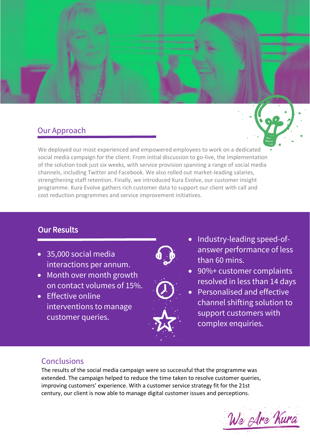### Our Approach

We deployed our most experienced and empowered employees to work on a dedicated social media campaign for the client. From initial discussion to go-live, the implementation of the solution took just six weeks, with service provision spanning a range of social media channels, including Twitter and Facebook. We also rolled out market-leading salaries, strengthening staff retention. Finally, we introduced Kura Evolve, our customer insight programme. Kura Evolve gathers rich customer data to support our client with call and cost reduction programmes and service improvement initiatives.

#### Our Results

- 35,000 social media interactions per annum.
- Month over month growth on contact volumes of 15%.
- Effective online interventions to manage customer queries.





- Industry-leading speed-ofanswer performance of less than 60 mins.
- 90%+ customer complaints resolved in less than 14 days
- Personalised and effective channel shifting solution to support customers with complex enquiries.

#### **Conclusions**

The results of the social media campaign were so successful that the programme was extended. The campaign helped to reduce the time taken to resolve customer queries, improving customers' experience. With a customer service strategy fit for the 21st century, our client is now able to manage digital customer issues and perceptions.